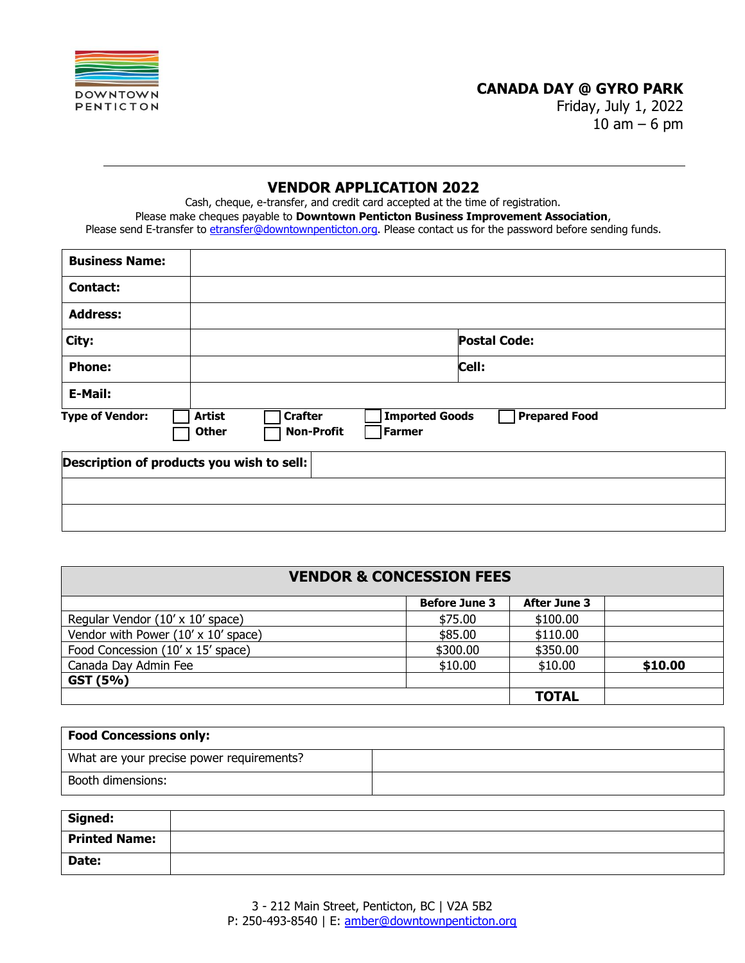

# **CANADA DAY @ GYRO PARK**

Friday, July 1, 2022  $10$  am  $-6$  pm

# **VENDOR APPLICATION 2022**

Cash, cheque, e-transfer, and credit card accepted at the time of registration. Please make cheques payable to **Downtown Penticton Business Improvement Association**, Please send E-transfer to etransfer@downtownpenticton.org. Please contact us for the password before sending funds.

| <b>Business Name:</b>                                                                                                                                     |  |  |                     |  |
|-----------------------------------------------------------------------------------------------------------------------------------------------------------|--|--|---------------------|--|
| <b>Contact:</b>                                                                                                                                           |  |  |                     |  |
| <b>Address:</b>                                                                                                                                           |  |  |                     |  |
| City:                                                                                                                                                     |  |  | <b>Postal Code:</b> |  |
| <b>Phone:</b>                                                                                                                                             |  |  | Cell:               |  |
| E-Mail:                                                                                                                                                   |  |  |                     |  |
| <b>Imported Goods</b><br><b>Prepared Food</b><br><b>Crafter</b><br><b>Artist</b><br><b>Type of Vendor:</b><br><b>Non-Profit</b><br><b>Other</b><br>Farmer |  |  |                     |  |
| Description of products you wish to sell:                                                                                                                 |  |  |                     |  |
|                                                                                                                                                           |  |  |                     |  |
|                                                                                                                                                           |  |  |                     |  |

| <b>VENDOR &amp; CONCESSION FEES</b>        |                      |                     |         |  |  |
|--------------------------------------------|----------------------|---------------------|---------|--|--|
|                                            | <b>Before June 3</b> | <b>After June 3</b> |         |  |  |
| Regular Vendor (10' x 10' space)           | \$75.00              | \$100.00            |         |  |  |
| Vendor with Power $(10' \times 10'$ space) | \$85.00              | \$110.00            |         |  |  |
| Food Concession (10' x 15' space)          | \$300.00             | \$350.00            |         |  |  |
| Canada Day Admin Fee                       | \$10.00              | \$10.00             | \$10.00 |  |  |
| GST (5%)                                   |                      |                     |         |  |  |
|                                            |                      | <b>TOTAL</b>        |         |  |  |

| <b>Food Concessions only:</b>             |  |  |
|-------------------------------------------|--|--|
| What are your precise power requirements? |  |  |
| Booth dimensions:                         |  |  |

| Signed:              |  |
|----------------------|--|
| <b>Printed Name:</b> |  |
| Date:                |  |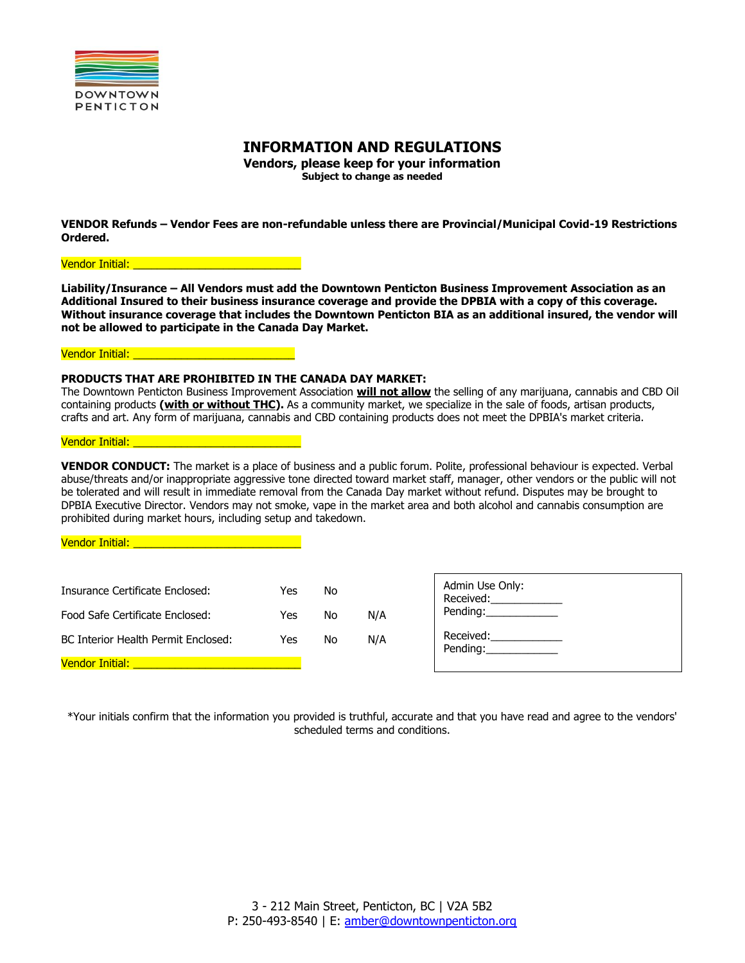

# **INFORMATION AND REGULATIONS**

**Vendors, please keep for your information Subject to change as needed**

**VENDOR Refunds – Vendor Fees are non-refundable unless there are Provincial/Municipal Covid-19 Restrictions Ordered.** 

Vendor Initial: **Wendor** Initial:

**Liability/Insurance – All Vendors must add the Downtown Penticton Business Improvement Association as an Additional Insured to their business insurance coverage and provide the DPBIA with a copy of this coverage. Without insurance coverage that includes the Downtown Penticton BIA as an additional insured, the vendor will not be allowed to participate in the Canada Day Market.**

Vendor Initial: \_\_\_\_\_\_\_\_\_\_\_\_\_\_\_\_\_\_\_\_\_\_\_\_\_\_\_

### **PRODUCTS THAT ARE PROHIBITED IN THE CANADA DAY MARKET:**

The Downtown Penticton Business Improvement Association **will not allow** the selling of any marijuana, cannabis and CBD Oil containing products **(with or without THC).** As a community market, we specialize in the sale of foods, artisan products, crafts and art. Any form of marijuana, cannabis and CBD containing products does not meet the DPBIA's market criteria.

#### Vendor Initial: **Wendor Initial:**

**VENDOR CONDUCT:** The market is a place of business and a public forum. Polite, professional behaviour is expected. Verbal abuse/threats and/or inappropriate aggressive tone directed toward market staff, manager, other vendors or the public will not be tolerated and will result in immediate removal from the Canada Day market without refund. Disputes may be brought to DPBIA Executive Director. Vendors may not smoke, vape in the market area and both alcohol and cannabis consumption are prohibited during market hours, including setup and takedown.

Admin Use Only: Received:\_\_\_\_\_\_\_\_ Pending: Received: Pending:\_\_\_\_\_\_\_\_\_\_\_\_  $R_{\rm c}$  and  $R_{\rm c}$  are constant of the constant of  $\sim$ Vendor Initial: Insurance Certificate Enclosed: Yes No Food Safe Certificate Enclosed: The Yes No N/A BC Interior Health Permit Enclosed: Yes No N/A Vendor Initial:

\*Your initials confirm that the information you provided is truthful, accurate and that you have read and agree to the vendors' scheduled terms and conditions.